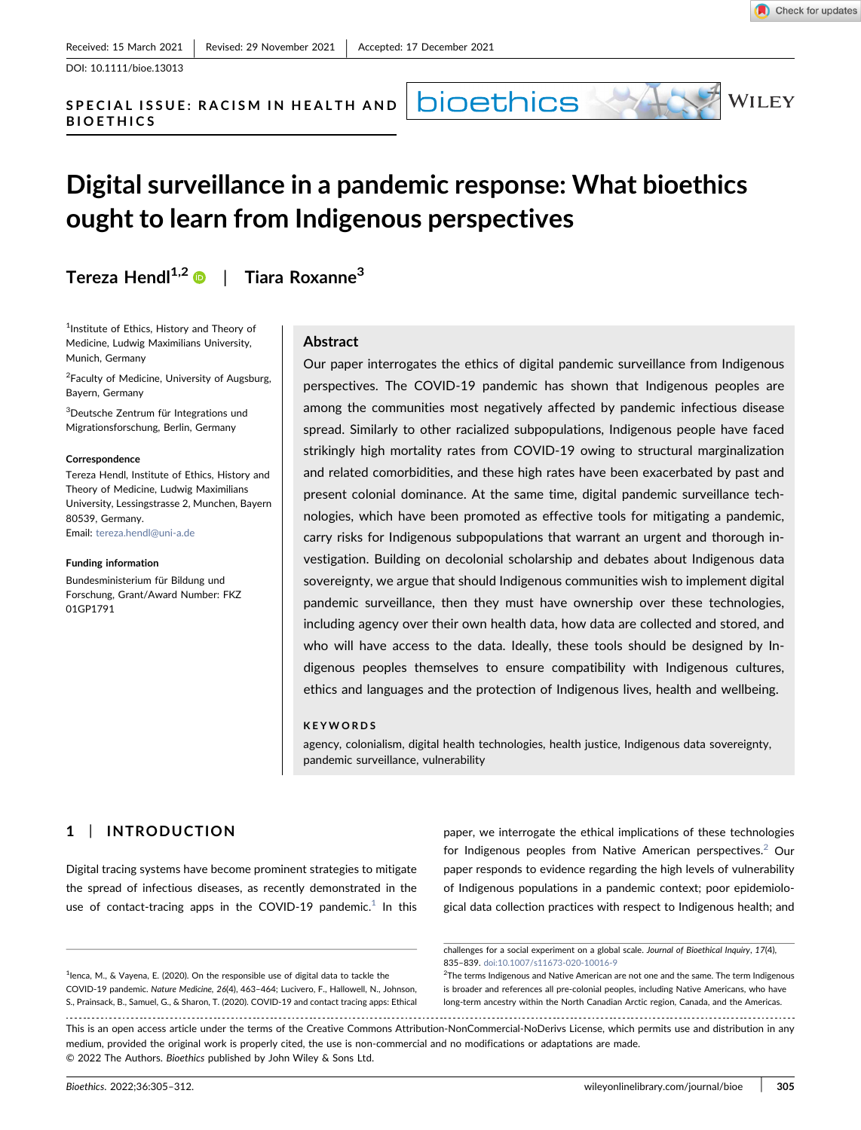DOI: 10.1111/bioe.13013

SPECIAL ISSUE: RACISM IN HEALTH AND BIOETHICS

# Digital surveillance in a pandemic response: What bioethics ought to learn from Indigenous perspectives

bioethics

Tereza Hendl<sup>1,2</sup>  $\bullet$  | Tiara Roxanne<sup>3</sup>

<sup>1</sup>Institute of Ethics, History and Theory of Medicine, Ludwig Maximilians University, Munich, Germany

<sup>2</sup> Faculty of Medicine, University of Augsburg, Bayern, Germany

3 Deutsche Zentrum für Integrations und Migrationsforschung, Berlin, Germany

#### Correspondence

Tereza Hendl, Institute of Ethics, History and Theory of Medicine, Ludwig Maximilians University, Lessingstrasse 2, Munchen, Bayern 80539, Germany. Email: [tereza.hendl@uni-a.de](mailto:tereza.hendl@uni-a.de)

#### Funding information

Bundesministerium für Bildung und Forschung, Grant/Award Number: FKZ 01GP1791

#### **Abstract**

Our paper interrogates the ethics of digital pandemic surveillance from Indigenous perspectives. The COVID‐19 pandemic has shown that Indigenous peoples are among the communities most negatively affected by pandemic infectious disease spread. Similarly to other racialized subpopulations, Indigenous people have faced strikingly high mortality rates from COVID‐19 owing to structural marginalization and related comorbidities, and these high rates have been exacerbated by past and present colonial dominance. At the same time, digital pandemic surveillance technologies, which have been promoted as effective tools for mitigating a pandemic, carry risks for Indigenous subpopulations that warrant an urgent and thorough investigation. Building on decolonial scholarship and debates about Indigenous data sovereignty, we argue that should Indigenous communities wish to implement digital pandemic surveillance, then they must have ownership over these technologies, including agency over their own health data, how data are collected and stored, and who will have access to the data. Ideally, these tools should be designed by Indigenous peoples themselves to ensure compatibility with Indigenous cultures, ethics and languages and the protection of Indigenous lives, health and wellbeing.

#### KEYWORDS

agency, colonialism, digital health technologies, health justice, Indigenous data sovereignty, pandemic surveillance, vulnerability

## 1 | INTRODUCTION

Digital tracing systems have become prominent strategies to mitigate the spread of infectious diseases, as recently demonstrated in the use of contact-tracing apps in the COVID-[1](#page-0-0)9 pandemic.<sup>1</sup> In this

<span id="page-0-0"></span><sup>1</sup>lenca, M., & Vayena, E. (2020). On the responsible use of digital data to tackle the COVID‐19 pandemic. Nature Medicine, 26(4), 463–464; Lucivero, F., Hallowell, N., Johnson, S., Prainsack, B., Samuel, G., & Sharon, T. (2020). COVID‐19 and contact tracing apps: Ethical paper, we interrogate the ethical implications of these technologies for Indigenous peoples from Native American perspectives. $2$  Our paper responds to evidence regarding the high levels of vulnerability of Indigenous populations in a pandemic context; poor epidemiological data collection practices with respect to Indigenous health; and

challenges for a social experiment on a global scale. Journal of Bioethical Inquiry, 17(4), 835–839. [doi:10.1007/s11673-020-10016-9](https://doi.org/10.1007/s11673-020-10016-9)

<span id="page-0-1"></span><sup>2</sup>The terms Indigenous and Native American are not one and the same. The term Indigenous is broader and references all pre‐colonial peoples, including Native Americans, who have long‐term ancestry within the North Canadian Arctic region, Canada, and the Americas.

This is an open access article under the terms of the Creative Commons Attribution-NonCommercial-NoDerivs License, which permits use and distribution in any medium, provided the original work is properly cited, the use is non‐commercial and no modifications or adaptations are made. © 2022 The Authors. Bioethics published by John Wiley & Sons Ltd.



 $N$ iley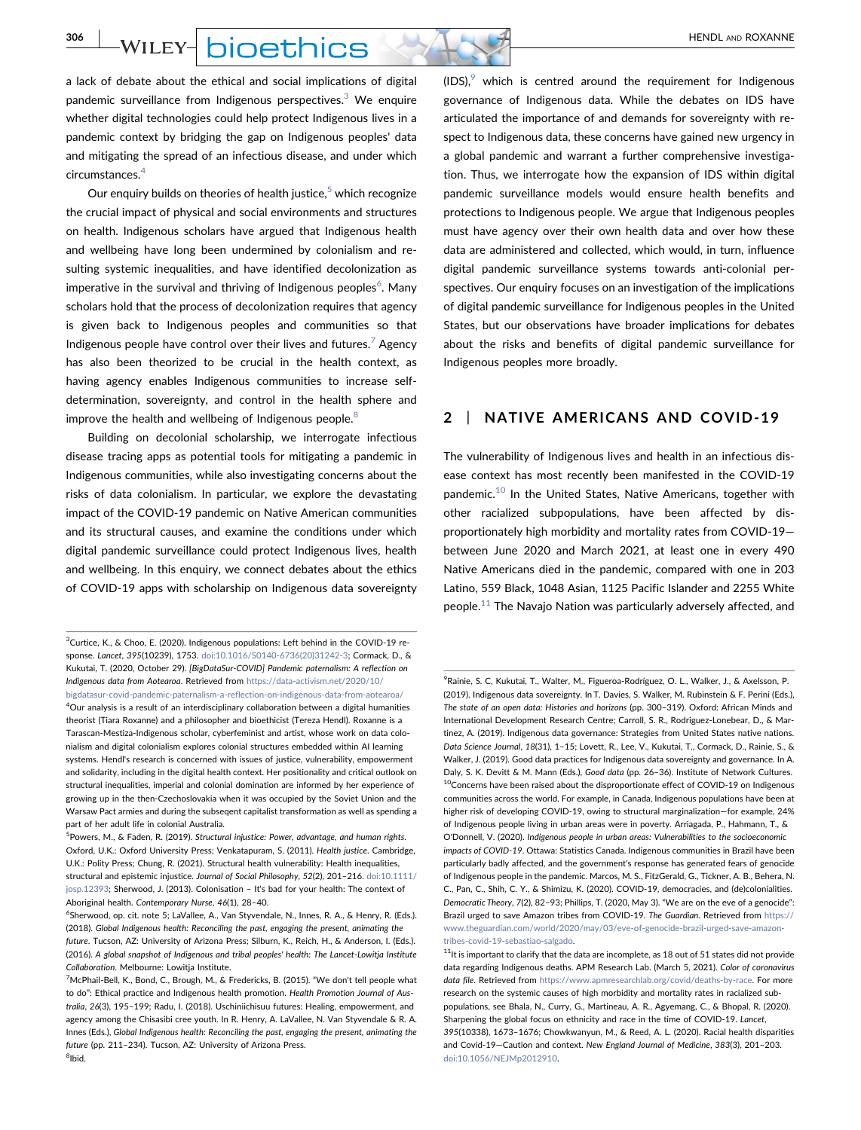**306 WILEY- DIOETHICS** 

a lack of debate about the ethical and social implications of digital pandemic surveillance from Indigenous perspectives.<sup>[3](#page-1-0)</sup> We enquire whether digital technologies could help protect Indigenous lives in a pandemic context by bridging the gap on Indigenous peoples' data and mitigating the spread of an infectious disease, and under which circumstances.[4](#page-1-1)

Our enquiry builds on theories of health justice, $5$  which recognize the crucial impact of physical and social environments and structures on health. Indigenous scholars have argued that Indigenous health and wellbeing have long been undermined by colonialism and resulting systemic inequalities, and have identified decolonization as imperative in the survival and thriving of Indigenous peoples $^6$  $^6$ . Many scholars hold that the process of decolonization requires that agency is given back to Indigenous peoples and communities so that Indigenous people have control over their lives and futures.<sup>[7](#page-1-4)</sup> Agency has also been theorized to be crucial in the health context, as having agency enables Indigenous communities to increase selfdetermination, sovereignty, and control in the health sphere and improve the health and wellbeing of Indigenous people.<sup>[8](#page-1-5)</sup>

Building on decolonial scholarship, we interrogate infectious disease tracing apps as potential tools for mitigating a pandemic in Indigenous communities, while also investigating concerns about the risks of data colonialism. In particular, we explore the devastating impact of the COVID‐19 pandemic on Native American communities and its structural causes, and examine the conditions under which digital pandemic surveillance could protect Indigenous lives, health and wellbeing. In this enquiry, we connect debates about the ethics of COVID‐19 apps with scholarship on Indigenous data sovereignty

<span id="page-1-1"></span><span id="page-1-0"></span><sup>3</sup>Curtice, K., & Choo, E. (2020). Indigenous populations: Left behind in the COVID-19 response. Lancet, 395(10239), 1753. [doi:10.1016/S0140-6736\(20\)31242-3;](https://doi.org/10.1016/S0140-6736(20)31242-3) Cormack, D., & Kukutai, T. (2020, October 29). [BigDataSur‐COVID] Pandemic paternalism: A reflection on Indigenous data from Aotearoa. Retrieved from [https://data-activism.net/2020/10/](https://data-activism.net/2020/10/bigdatasur-covid-pandemic-paternalism-a-reflection-on-indigenous-data-from-aotearoa/) [bigdatasur-covid-pandemic-paternalism-a-reflection-on-indigenous-data-from-aotearoa/](https://data-activism.net/2020/10/bigdatasur-covid-pandemic-paternalism-a-reflection-on-indigenous-data-from-aotearoa/) 4 Our analysis is a result of an interdisciplinary collaboration between a digital humanities theorist (Tiara Roxanne) and a philosopher and bioethicist (Tereza Hendl). Roxanne is a Tarascan‐Mestiza‐Indigenous scholar, cyberfeminist and artist, whose work on data colonialism and digital colonialism explores colonial structures embedded within AI learning systems. Hendl's research is concerned with issues of justice, vulnerability, empowerment and solidarity, including in the digital health context. Her positionality and critical outlook on structural inequalities, imperial and colonial domination are informed by her experience of growing up in the then-Czechoslovakia when it was occupied by the Soviet Union and the Warsaw Pact armies and during the subseqent capitalist transformation as well as spending a part of her adult life in colonial Australia.

<span id="page-1-2"></span><sup>5</sup>Powers, M., & Faden, R. (2019). Structural injustice: Power, advantage, and human rights. Oxford, U.K.: Oxford University Press; Venkatapuram, S. (2011). Health justice. Cambridge, U.K.: Polity Press; Chung, R. (2021). Structural health vulnerability: Health inequalities, structural and epistemic injustice. Journal of Social Philosophy, 52(2), 201–216. [doi:10.1111/](https://doi.org/10.1111/josp.12393) [josp.12393](https://doi.org/10.1111/josp.12393); Sherwood, J. (2013). Colonisation – It's bad for your health: The context of Aboriginal health. Contemporary Nurse, 46(1), 28–40.

 $(IDS)<sup>9</sup>$  $(IDS)<sup>9</sup>$  $(IDS)<sup>9</sup>$  which is centred around the requirement for Indigenous governance of Indigenous data. While the debates on IDS have articulated the importance of and demands for sovereignty with respect to Indigenous data, these concerns have gained new urgency in a global pandemic and warrant a further comprehensive investigation. Thus, we interrogate how the expansion of IDS within digital pandemic surveillance models would ensure health benefits and protections to Indigenous people. We argue that Indigenous peoples must have agency over their own health data and over how these data are administered and collected, which would, in turn, influence digital pandemic surveillance systems towards anti‐colonial perspectives. Our enquiry focuses on an investigation of the implications of digital pandemic surveillance for Indigenous peoples in the United States, but our observations have broader implications for debates about the risks and benefits of digital pandemic surveillance for Indigenous peoples more broadly.

### 2 | NATIVE AMERICANS AND COVID‐19

The vulnerability of Indigenous lives and health in an infectious disease context has most recently been manifested in the COVID‐19 pandemic.[10](#page-1-7) In the United States, Native Americans, together with other racialized subpopulations, have been affected by disproportionately high morbidity and mortality rates from COVID‐19 between June 2020 and March 2021, at least one in every 490 Native Americans died in the pandemic, compared with one in 203 Latino, 559 Black, 1048 Asian, 1125 Pacific Islander and 2255 White people.<sup>[11](#page-1-8)</sup> The Navajo Nation was particularly adversely affected, and

<span id="page-1-3"></span><sup>6</sup> Sherwood, op. cit. note 5; LaVallee, A., Van Styvendale, N., Innes, R. A., & Henry, R. (Eds.). (2018). Global Indigenous health: Reconciling the past, engaging the present, animating the future. Tucson, AZ: University of Arizona Press; Silburn, K., Reich, H., & Anderson, I. (Eds.). (2016). A global snapshot of Indigenous and tribal peoples' health: The Lancet‐Lowitja Institute Collaboration. Melbourne: Lowitja Institute.

<span id="page-1-5"></span><span id="page-1-4"></span><sup>&</sup>lt;sup>7</sup>McPhail-Bell, K., Bond, C., Brough, M., & Fredericks, B. (2015). "We don't tell people what to do": Ethical practice and Indigenous health promotion. Health Promotion Journal of Australia, 26(3), 195–199; Radu, I. (2018). Uschiniichisuu futures: Healing, empowerment, and agency among the Chisasibi cree youth. In R. Henry, A. LaVallee, N. Van Styvendale & R. A. Innes (Eds.), Global Indigenous health: Reconciling the past, engaging the present, animating the future (pp. 211–234). Tucson, AZ: University of Arizona Press. 8 Ibid.

<span id="page-1-7"></span><span id="page-1-6"></span><sup>9</sup> Rainie, S. C, Kukutai, T., Walter, M., Figueroa‐Rodríguez, O. L., Walker, J., & Axelsson, P. (2019). Indigenous data sovereignty. In T. Davies, S. Walker, M. Rubinstein & F. Perini (Eds.), The state of an open data: Histories and horizons (pp. 300–319). Oxford: African Minds and International Development Research Centre; Carroll, S. R., Rodriguez‐Lonebear, D., & Martinez, A. (2019). Indigenous data governance: Strategies from United States native nations. Data Science Journal, 18(31), 1–15; Lovett, R., Lee, V., Kukutai, T., Cormack, D., Rainie, S., & Walker, J. (2019). Good data practices for Indigenous data sovereignty and governance. In A. Daly, S. K. Devitt & M. Mann (Eds.), Good data (pp. 26–36). Institute of Network Cultures.  $10$ Concerns have been raised about the disproportionate effect of COVID-19 on Indigenous communities across the world. For example, in Canada, Indigenous populations have been at higher risk of developing COVID‐19, owing to structural marginalization—for example, 24% of Indigenous people living in urban areas were in poverty. Arriagada, P., Hahmann, T., & O'Donnell, V. (2020). Indigenous people in urban areas: Vulnerabilities to the socioeconomic impacts of COVID‐19. Ottawa: Statistics Canada. Indigenous communities in Brazil have been particularly badly affected, and the government's response has generated fears of genocide of Indigenous people in the pandemic. Marcos, M. S., FitzGerald, G., Tickner, A. B., Behera, N. C., Pan, C., Shih, C. Y., & Shimizu, K. (2020). COVID‐19, democracies, and (de)colonialities. Democratic Theory, 7(2), 82–93; Phillips, T. (2020, May 3). "We are on the eve of a genocide": Brazil urged to save Amazon tribes from COVID-19. The Guardian. Retrieved from [https://](https://www.theguardian.com/world/2020/may/03/eve-of-genocide-brazil-urged-save-amazon-tribes-covid-19-sebastiao-salgado) [www.theguardian.com/world/2020/may/03/eve-of-genocide-brazil-urged-save-amazon](https://www.theguardian.com/world/2020/may/03/eve-of-genocide-brazil-urged-save-amazon-tribes-covid-19-sebastiao-salgado)[tribes-covid-19-sebastiao-salgado](https://www.theguardian.com/world/2020/may/03/eve-of-genocide-brazil-urged-save-amazon-tribes-covid-19-sebastiao-salgado).

<span id="page-1-8"></span> $11$ It is important to clarify that the data are incomplete, as 18 out of 51 states did not provide data regarding Indigenous deaths. APM Research Lab. (March 5, 2021). Color of coronavirus data file. Retrieved from <https://www.apmresearchlab.org/covid/deaths-by-race>. For more research on the systemic causes of high morbidity and mortality rates in racialized subpopulations, see Bhala, N., Curry, G., Martineau, A. R., Agyemang, C., & Bhopal, R. (2020). Sharpening the global focus on ethnicity and race in the time of COVID‐19. Lancet, 395(10338), 1673–1676; Chowkwanyun, M., & Reed, A. L. (2020). Racial health disparities and Covid‐19—Caution and context. New England Journal of Medicine, 383(3), 201–203. [doi:10.1056/NEJMp2012910](https://doi.org/10.1056/NEJMp2012910).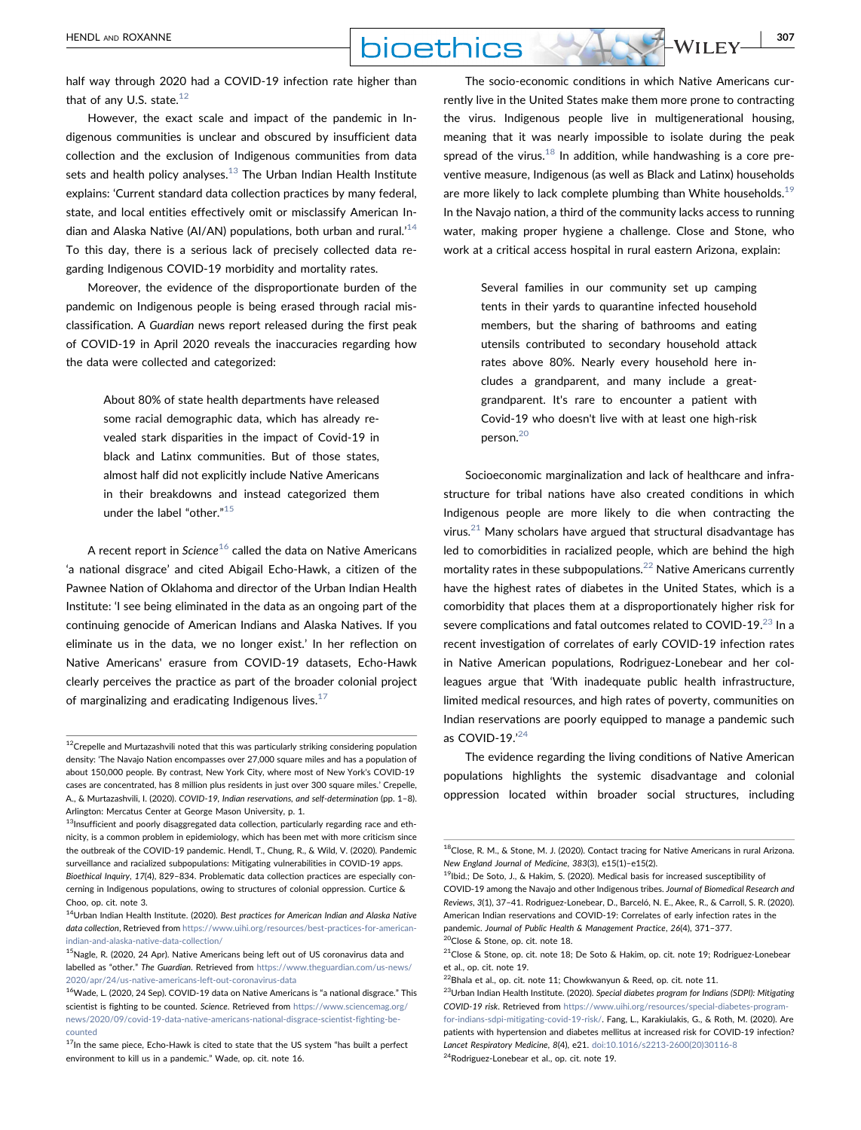However, the exact scale and impact of the pandemic in Indigenous communities is unclear and obscured by insufficient data collection and the exclusion of Indigenous communities from data sets and health policy analyses. $13$  The Urban Indian Health Institute explains: 'Current standard data collection practices by many federal, state, and local entities effectively omit or misclassify American In-dian and Alaska Native (AI/AN) populations, both urban and rural.<sup>[14](#page-2-2)</sup> To this day, there is a serious lack of precisely collected data regarding Indigenous COVID‐19 morbidity and mortality rates.

Moreover, the evidence of the disproportionate burden of the pandemic on Indigenous people is being erased through racial misclassification. A Guardian news report released during the first peak of COVID‐19 in April 2020 reveals the inaccuracies regarding how the data were collected and categorized:

> About 80% of state health departments have released some racial demographic data, which has already revealed stark disparities in the impact of Covid‐19 in black and Latinx communities. But of those states, almost half did not explicitly include Native Americans in their breakdowns and instead categorized them under the label "other." [15](#page-2-3)

A recent report in Science<sup>[16](#page-2-4)</sup> called the data on Native Americans 'a national disgrace' and cited Abigail Echo‐Hawk, a citizen of the Pawnee Nation of Oklahoma and director of the Urban Indian Health Institute: 'I see being eliminated in the data as an ongoing part of the continuing genocide of American Indians and Alaska Natives. If you eliminate us in the data, we no longer exist.' In her reflection on Native Americans' erasure from COVID‐19 datasets, Echo‐Hawk clearly perceives the practice as part of the broader colonial project of marginalizing and eradicating Indigenous lives. $17$ 

The socio‐economic conditions in which Native Americans currently live in the United States make them more prone to contracting the virus. Indigenous people live in multigenerational housing, meaning that it was nearly impossible to isolate during the peak spread of the virus.<sup>18</sup> In addition, while handwashing is a core preventive measure, Indigenous (as well as Black and Latinx) households are more likely to lack complete plumbing than White households.<sup>[19](#page-2-7)</sup> In the Navajo nation, a third of the community lacks access to running water, making proper hygiene a challenge. Close and Stone, who work at a critical access hospital in rural eastern Arizona, explain:

> Several families in our community set up camping tents in their yards to quarantine infected household members, but the sharing of bathrooms and eating utensils contributed to secondary household attack rates above 80%. Nearly every household here includes a grandparent, and many include a great‐ grandparent. It's rare to encounter a patient with Covid‐19 who doesn't live with at least one high‐risk person.[20](#page-2-8)

Socioeconomic marginalization and lack of healthcare and infrastructure for tribal nations have also created conditions in which Indigenous people are more likely to die when contracting the virus.<sup>[21](#page-2-9)</sup> Many scholars have argued that structural disadvantage has led to comorbidities in racialized people, which are behind the high mortality rates in these subpopulations.<sup>[22](#page-2-10)</sup> Native Americans currently have the highest rates of diabetes in the United States, which is a comorbidity that places them at a disproportionately higher risk for severe complications and fatal outcomes related to COVID-19.<sup>[23](#page-2-11)</sup> In a recent investigation of correlates of early COVID‐19 infection rates in Native American populations, Rodriguez‐Lonebear and her colleagues argue that 'With inadequate public health infrastructure, limited medical resources, and high rates of poverty, communities on Indian reservations are poorly equipped to manage a pandemic such as COVID-19.'[24](#page-2-12)

The evidence regarding the living conditions of Native American populations highlights the systemic disadvantage and colonial oppression located within broader social structures, including

<span id="page-2-0"></span> $12$ Crepelle and Murtazashvili noted that this was particularly striking considering population density: 'The Navajo Nation encompasses over 27,000 square miles and has a population of about 150,000 people. By contrast, New York City, where most of New York's COVID‐19 cases are concentrated, has 8 million plus residents in just over 300 square miles.' Crepelle, A., & Murtazashvili, I. (2020). COVID‐19, Indian reservations, and self‐determination (pp. 1–8). Arlington: Mercatus Center at George Mason University, p. 1.

<span id="page-2-1"></span> $13$ Insufficient and poorly disaggregated data collection, particularly regarding race and ethnicity, is a common problem in epidemiology, which has been met with more criticism since the outbreak of the COVID‐19 pandemic. Hendl, T., Chung, R., & Wild, V. (2020). Pandemic surveillance and racialized subpopulations: Mitigating vulnerabilities in COVID‐19 apps. Bioethical Inquiry, 17(4), 829–834. Problematic data collection practices are especially concerning in Indigenous populations, owing to structures of colonial oppression. Curtice & Choo, op. cit. note 3.

<span id="page-2-2"></span><sup>&</sup>lt;sup>14</sup>Urban Indian Health Institute. (2020). Best practices for American Indian and Alaska Native data collection, Retrieved from [https://www.uihi.org/resources/best-practices-for-american](https://www.uihi.org/resources/best-practices-for-american-indian-and-alaska-native-data-collection/)[indian-and-alaska-native-data-collection/](https://www.uihi.org/resources/best-practices-for-american-indian-and-alaska-native-data-collection/)

<span id="page-2-3"></span> $15$ Nagle, R. (2020, 24 Apr). Native Americans being left out of US coronavirus data and labelled as "other." The Guardian. Retrieved from [https://www.theguardian.com/us-news/](https://www.theguardian.com/us-news/2020/apr/24/us-native-americans-left-out-coronavirus-data) [2020/apr/24/us-native-americans-left-out-coronavirus-data](https://www.theguardian.com/us-news/2020/apr/24/us-native-americans-left-out-coronavirus-data)

<span id="page-2-4"></span><sup>16</sup>Wade, L. (2020, 24 Sep). COVID‐19 data on Native Americans is "a national disgrace." This scientist is fighting to be counted. Science. Retrieved from [https://www.sciencemag.org/](https://www.sciencemag.org/news/2020/09/covid-19-data-native-americans-national-disgrace-scientist-fighting-be-counted) [news/2020/09/covid-19-data-native-americans-national-disgrace-scientist-fighting-be](https://www.sciencemag.org/news/2020/09/covid-19-data-native-americans-national-disgrace-scientist-fighting-be-counted)[counted](https://www.sciencemag.org/news/2020/09/covid-19-data-native-americans-national-disgrace-scientist-fighting-be-counted)

<span id="page-2-5"></span> $17$ In the same piece, Echo-Hawk is cited to state that the US system "has built a perfect environment to kill us in a pandemic." Wade, op. cit. note 16.

<span id="page-2-6"></span><sup>18</sup>Close, R. M., & Stone, M. J. (2020). Contact tracing for Native Americans in rural Arizona. New England Journal of Medicine, 383(3), e15(1)–e15(2).

<span id="page-2-7"></span><sup>&</sup>lt;sup>19</sup>Ibid.; De Soto, J., & Hakim, S. (2020). Medical basis for increased susceptibility of COVID‐19 among the Navajo and other Indigenous tribes. Journal of Biomedical Research and Reviews, 3(1), 37–41. Rodriguez‐Lonebear, D., Barceló, N. E., Akee, R., & Carroll, S. R. (2020). American Indian reservations and COVID‐19: Correlates of early infection rates in the pandemic. Journal of Public Health & Management Practice, 26(4), 371–377. 20Close & Stone, op. cit. note 18.

<span id="page-2-9"></span><span id="page-2-8"></span><sup>&</sup>lt;sup>21</sup>Close & Stone, op. cit. note 18; De Soto & Hakim, op. cit. note 19; Rodriguez-Lonebear et al., op. cit. note 19.

<span id="page-2-10"></span> $^{22}$ Bhala et al., op. cit. note 11; Chowkwanyun & Reed, op. cit. note 11.

<span id="page-2-12"></span><span id="page-2-11"></span> $23$ Urban Indian Health Institute. (2020). Special diabetes program for Indians (SDPI): Mitigating COVID‐19 risk. Retrieved from [https://www.uihi.org/resources/special-diabetes-program](https://www.uihi.org/resources/special-diabetes-program-for-indians-sdpi-mitigating-covid-19-risk/)[for-indians-sdpi-mitigating-covid-19-risk/](https://www.uihi.org/resources/special-diabetes-program-for-indians-sdpi-mitigating-covid-19-risk/). Fang, L., Karakiulakis, G., & Roth, M. (2020). Are patients with hypertension and diabetes mellitus at increased risk for COVID‐19 infection? Lancet Respiratory Medicine, 8(4), e21. [doi:10.1016/s2213-2600\(20\)30116-8](https://doi.org/10.1016/s2213-2600(20)30116-8) <sup>24</sup>Rodriguez-Lonebear et al., op. cit. note 19.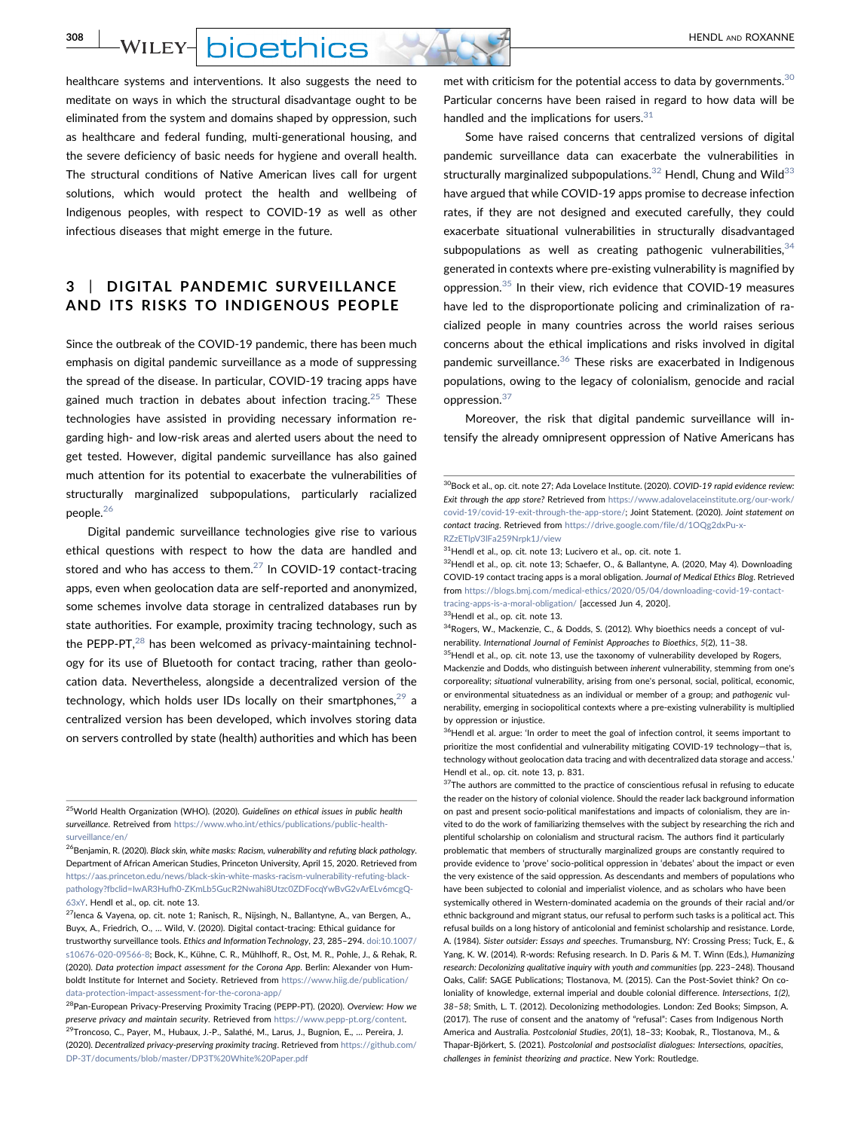**308 | WILEY- DIOETHICS** 

healthcare systems and interventions. It also suggests the need to meditate on ways in which the structural disadvantage ought to be eliminated from the system and domains shaped by oppression, such as healthcare and federal funding, multi‐generational housing, and the severe deficiency of basic needs for hygiene and overall health. The structural conditions of Native American lives call for urgent solutions, which would protect the health and wellbeing of Indigenous peoples, with respect to COVID‐19 as well as other infectious diseases that might emerge in the future.

# 3 | DIGITAL PANDEMIC SURVEILLANCE AND ITS RISKS TO INDIGENOUS PEOPLE

Since the outbreak of the COVID‐19 pandemic, there has been much emphasis on digital pandemic surveillance as a mode of suppressing the spread of the disease. In particular, COVID‐19 tracing apps have gained much traction in debates about infection tracing.<sup>[25](#page-3-0)</sup> These technologies have assisted in providing necessary information regarding high‐ and low‐risk areas and alerted users about the need to get tested. However, digital pandemic surveillance has also gained much attention for its potential to exacerbate the vulnerabilities of structurally marginalized subpopulations, particularly racialized people.<sup>[26](#page-3-1)</sup>

Digital pandemic surveillance technologies give rise to various ethical questions with respect to how the data are handled and stored and who has access to them. $^{27}$  In COVID-19 contact-tracing apps, even when geolocation data are self‐reported and anonymized, some schemes involve data storage in centralized databases run by state authorities. For example, proximity tracing technology, such as the PEPP-PT, $^{28}$  $^{28}$  $^{28}$  has been welcomed as privacy-maintaining technology for its use of Bluetooth for contact tracing, rather than geolocation data. Nevertheless, alongside a decentralized version of the technology, which holds user IDs locally on their smartphones,  $29$  a centralized version has been developed, which involves storing data on servers controlled by state (health) authorities and which has been

<span id="page-3-0"></span> $^{25}$ World Health Organization (WHO). (2020). Guidelines on ethical issues in public health surveillance. Retreived from [https://www.who.int/ethics/publications/public-health](https://www.who.int/ethics/publications/public-health-surveillance/en/)[surveillance/en/](https://www.who.int/ethics/publications/public-health-surveillance/en/)

met with criticism for the potential access to data by governments.<sup>[30](#page-3-5)</sup> Particular concerns have been raised in regard to how data will be handled and the implications for users. $31$ 

Some have raised concerns that centralized versions of digital pandemic surveillance data can exacerbate the vulnerabilities in structurally marginalized subpopulations. $32$  Hendl, Chung and Wild $33$ have argued that while COVID‐19 apps promise to decrease infection rates, if they are not designed and executed carefully, they could exacerbate situational vulnerabilities in structurally disadvantaged subpopulations as well as creating pathogenic vulnerabilities,  $34$ generated in contexts where pre‐existing vulnerability is magnified by oppression[.35](#page-3-10) In their view, rich evidence that COVID‐19 measures have led to the disproportionate policing and criminalization of racialized people in many countries across the world raises serious concerns about the ethical implications and risks involved in digital pandemic surveillance.<sup>[36](#page-3-11)</sup> These risks are exacerbated in Indigenous populations, owing to the legacy of colonialism, genocide and racial oppression.<sup>37</sup>

Moreover, the risk that digital pandemic surveillance will intensify the already omnipresent oppression of Native Americans has

<span id="page-3-7"></span>32Hendl et al., op. cit. note 13; Schaefer, O., & Ballantyne, A. (2020, May 4). Downloading COVID‐19 contact tracing apps is a moral obligation. Journal of Medical Ethics Blog. Retrieved from [https://blogs.bmj.com/medical-ethics/2020/05/04/downloading-covid-19-contact](https://blogs.bmj.com/medical-ethics/2020/05/04/downloading-covid-19-contact-tracing-apps-is-a-moral-obligation/)[tracing-apps-is-a-moral-obligation/](https://blogs.bmj.com/medical-ethics/2020/05/04/downloading-covid-19-contact-tracing-apps-is-a-moral-obligation/) [accessed Jun 4, 2020].

<span id="page-3-8"></span>33Hendl et al., op. cit. note 13.

<span id="page-3-9"></span><sup>34</sup>Rogers, W., Mackenzie, C., & Dodds, S. (2012). Why bioethics needs a concept of vulnerability. International Journal of Feminist Approaches to Bioethics, 5(2), 11–38.

<span id="page-3-10"></span> $35$ Hendl et al., op. cit. note 13, use the taxonomy of vulnerability developed by Rogers, Mackenzie and Dodds, who distinguish between inherent vulnerability, stemming from one's corporeality; situational vulnerability, arising from one's personal, social, political, economic, or environmental situatedness as an individual or member of a group; and pathogenic vulnerability, emerging in sociopolitical contexts where a pre‐existing vulnerability is multiplied by oppression or injustice.

<span id="page-3-12"></span> $37$ The authors are committed to the practice of conscientious refusal in refusing to educate the reader on the history of colonial violence. Should the reader lack background information on past and present socio‐political manifestations and impacts of colonialism, they are invited to do the work of familiarizing themselves with the subject by researching the rich and plentiful scholarship on colonialism and structural racism. The authors find it particularly problematic that members of structurally marginalized groups are constantly required to provide evidence to 'prove' socio‐political oppression in 'debates' about the impact or even the very existence of the said oppression. As descendants and members of populations who have been subjected to colonial and imperialist violence, and as scholars who have been systemically othered in Western‐dominated academia on the grounds of their racial and/or ethnic background and migrant status, our refusal to perform such tasks is a political act. This refusal builds on a long history of anticolonial and feminist scholarship and resistance. Lorde, A. (1984). Sister outsider: Essays and speeches. Trumansburg, NY: Crossing Press; Tuck, E., & Yang, K. W. (2014). R‐words: Refusing research. In D. Paris & M. T. Winn (Eds.), Humanizing research: Decolonizing qualitative inquiry with youth and communities (pp. 223–248). Thousand Oaks, Calif: SAGE Publications; Tlostanova, M. (2015). Can the Post‐Soviet think? On coloniality of knowledge, external imperial and double colonial difference. Intersections, 1(2), 38–58; Smith, L. T. (2012). Decolonizing methodologies. London: Zed Books; Simpson, A. (2017). The ruse of consent and the anatomy of "refusal": Cases from Indigenous North America and Australia. Postcolonial Studies, 20(1), 18–33; Koobak, R., Tlostanova, M., & Thapar‐Björkert, S. (2021). Postcolonial and postsocialist dialogues: Intersections, opacities, challenges in feminist theorizing and practice. New York: Routledge.

<span id="page-3-1"></span> $^{26}$ Benjamin, R. (2020). Black skin, white masks: Racism, vulnerability and refuting black pathology. Department of African American Studies, Princeton University, April 15, 2020. Retrieved from [https://aas.princeton.edu/news/black-skin-white-masks-racism-vulnerability-refuting-black](https://aas.princeton.edu/news/black-skin-white-masks-racism-vulnerability-refuting-black-pathology?fbclid=IwAR3Hufh0-ZKmLb5GucR2Nwahi8Utzc0ZDFocqYwBvG2vArELv6mcgQ-63xY)[pathology?fbclid=IwAR3Hufh0-ZKmLb5GucR2Nwahi8Utzc0ZDFocqYwBvG2vArELv6mcgQ-](https://aas.princeton.edu/news/black-skin-white-masks-racism-vulnerability-refuting-black-pathology?fbclid=IwAR3Hufh0-ZKmLb5GucR2Nwahi8Utzc0ZDFocqYwBvG2vArELv6mcgQ-63xY)[63xY](https://aas.princeton.edu/news/black-skin-white-masks-racism-vulnerability-refuting-black-pathology?fbclid=IwAR3Hufh0-ZKmLb5GucR2Nwahi8Utzc0ZDFocqYwBvG2vArELv6mcgQ-63xY). Hendl et al., op. cit. note 13.

<span id="page-3-2"></span> $^{27}$ lenca & Vayena, op. cit. note 1; Ranisch, R., Nijsingh, N., Ballantyne, A., van Bergen, A., Buyx, A., Friedrich, O., … Wild, V. (2020). Digital contact‐tracing: Ethical guidance for trustworthy surveillance tools. Ethics and Information Technology, 23, 285–294. [doi:10.1007/](https://doi.org/10.1007/s10676-020-09566-8) [s10676-020-09566-8;](https://doi.org/10.1007/s10676-020-09566-8) Bock, K., Kühne, C. R., Mühlhoff, R., Ost, M. R., Pohle, J., & Rehak, R. (2020). Data protection impact assessment for the Corona App. Berlin: Alexander von Humboldt Institute for Internet and Society. Retrieved from [https://www.hiig.de/publication/](https://www.hiig.de/publication/data-protection-impact-assessment-for-the-corona-app/) [data-protection-impact-assessment-for-the-corona-app/](https://www.hiig.de/publication/data-protection-impact-assessment-for-the-corona-app/)

<span id="page-3-4"></span><span id="page-3-3"></span><sup>&</sup>lt;sup>28</sup>Pan-European Privacy-Preserving Proximity Tracing (PEPP-PT). (2020). Overview: How we preserve privacy and maintain security. Retrieved from [https://www.pepp-pt.org/content.](https://www.pepp-pt.org/content) <sup>9</sup>Troncoso, C., Paver, M., Hubaux, J.-P., Salathé, M., Larus, J., Bugnion, E., .., Pereira, J. (2020). Decentralized privacy‐preserving proximity tracing. Retrieved from [https://github.com/](https://github.com/DP-3T/documents/blob/master/DP3T%20White%20Paper.pdf) [DP-3T/documents/blob/master/DP3T%20White%20Paper.pdf](https://github.com/DP-3T/documents/blob/master/DP3T%20White%20Paper.pdf)

<span id="page-3-5"></span><sup>&</sup>lt;sup>30</sup>Bock et al., op. cit. note 27; Ada Lovelace Institute. (2020). COVID-19 rapid evidence review: Exit through the app store? Retrieved from [https://www.adalovelaceinstitute.org/our-work/](https://www.adalovelaceinstitute.org/our-work/covid-19/covid-19-exit-through-the-app-store/) [covid-19/covid-19-exit-through-the-app-store/;](https://www.adalovelaceinstitute.org/our-work/covid-19/covid-19-exit-through-the-app-store/) Joint Statement. (2020). Joint statement on contact tracing. Retrieved from [https://drive.google.com/file/d/1OQg2dxPu-x-](https://drive.google.com/file/d/1OQg2dxPu-x-RZzETlpV3lFa259Nrpk1J/view)[RZzETlpV3lFa259Nrpk1J/view](https://drive.google.com/file/d/1OQg2dxPu-x-RZzETlpV3lFa259Nrpk1J/view)

<span id="page-3-6"></span> $31$ Hendl et al., op. cit. note 13; Lucivero et al., op. cit. note 1.

<span id="page-3-11"></span><sup>&</sup>lt;sup>36</sup>Hendl et al. argue: 'In order to meet the goal of infection control, it seems important to prioritize the most confidential and vulnerability mitigating COVID‐19 technology—that is, technology without geolocation data tracing and with decentralized data storage and access.' Hendl et al., op. cit. note 13, p. 831.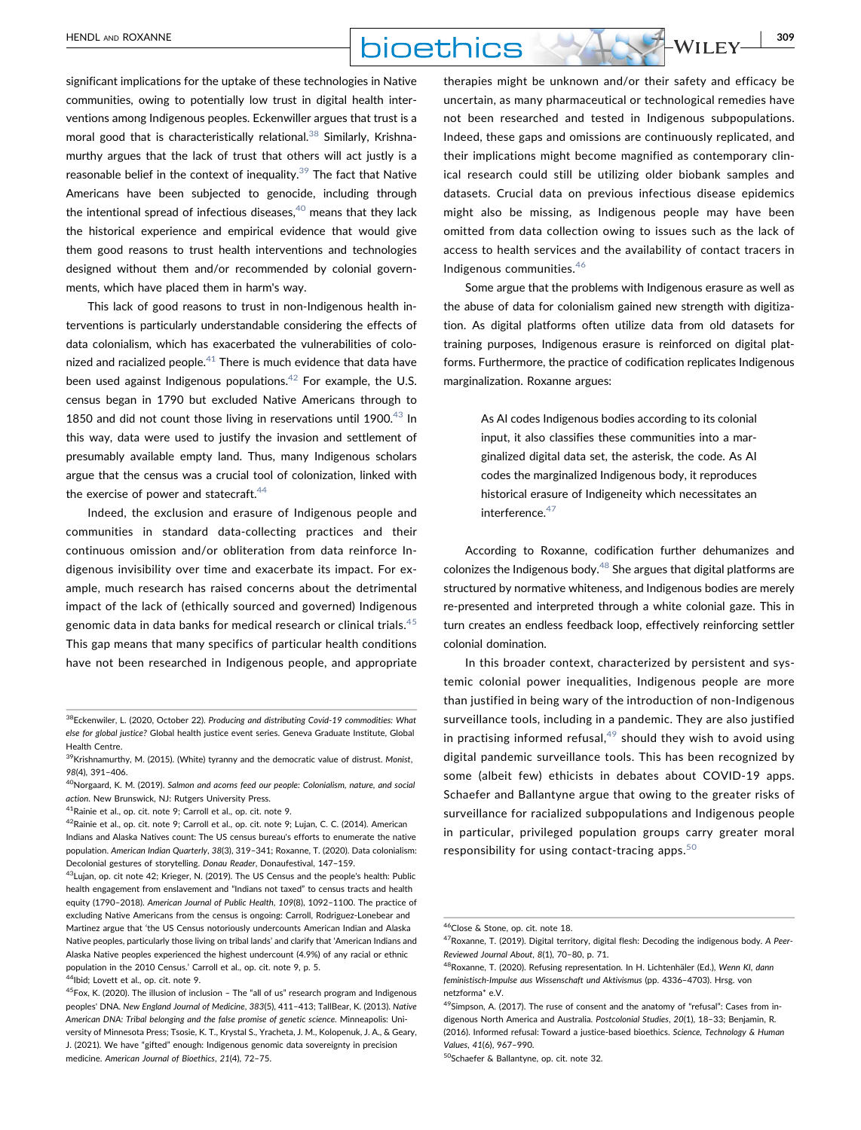

significant implications for the uptake of these technologies in Native communities, owing to potentially low trust in digital health interventions among Indigenous peoples. Eckenwiller argues that trust is a moral good that is characteristically relational.<sup>[38](#page-4-0)</sup> Similarly, Krishnamurthy argues that the lack of trust that others will act justly is a reasonable belief in the context of inequality.<sup>[39](#page-4-1)</sup> The fact that Native Americans have been subjected to genocide, including through the intentional spread of infectious diseases, $40$  means that they lack the historical experience and empirical evidence that would give them good reasons to trust health interventions and technologies designed without them and/or recommended by colonial governments, which have placed them in harm's way.

This lack of good reasons to trust in non-Indigenous health interventions is particularly understandable considering the effects of data colonialism, which has exacerbated the vulnerabilities of colonized and racialized people. $^{41}$  $^{41}$  $^{41}$  There is much evidence that data have been used against Indigenous populations.<sup>42</sup> For example, the U.S. census began in 1790 but excluded Native Americans through to 1850 and did not count those living in reservations until 1900. $43$  In this way, data were used to justify the invasion and settlement of presumably available empty land. Thus, many Indigenous scholars argue that the census was a crucial tool of colonization, linked with the exercise of power and statecraft. $44$ 

Indeed, the exclusion and erasure of Indigenous people and communities in standard data‐collecting practices and their continuous omission and/or obliteration from data reinforce Indigenous invisibility over time and exacerbate its impact. For example, much research has raised concerns about the detrimental impact of the lack of (ethically sourced and governed) Indigenous genomic data in data banks for medical research or clinical trials. $45$ This gap means that many specifics of particular health conditions have not been researched in Indigenous people, and appropriate

<span id="page-4-3"></span>41Rainie et al., op. cit. note 9; Carroll et al., op. cit. note 9.

therapies might be unknown and/or their safety and efficacy be uncertain, as many pharmaceutical or technological remedies have not been researched and tested in Indigenous subpopulations. Indeed, these gaps and omissions are continuously replicated, and their implications might become magnified as contemporary clinical research could still be utilizing older biobank samples and datasets. Crucial data on previous infectious disease epidemics might also be missing, as Indigenous people may have been omitted from data collection owing to issues such as the lack of access to health services and the availability of contact tracers in Indigenous communities.[46](#page-4-8)

Some argue that the problems with Indigenous erasure as well as the abuse of data for colonialism gained new strength with digitization. As digital platforms often utilize data from old datasets for training purposes, Indigenous erasure is reinforced on digital platforms. Furthermore, the practice of codification replicates Indigenous marginalization. Roxanne argues:

> As AI codes Indigenous bodies according to its colonial input, it also classifies these communities into a marginalized digital data set, the asterisk, the code. As AI codes the marginalized Indigenous body, it reproduces historical erasure of Indigeneity which necessitates an interference.<sup>[47](#page-4-9)</sup>

According to Roxanne, codification further dehumanizes and colonizes the Indigenous body. $48$  She argues that digital platforms are structured by normative whiteness, and Indigenous bodies are merely re‐presented and interpreted through a white colonial gaze. This in turn creates an endless feedback loop, effectively reinforcing settler colonial domination.

In this broader context, characterized by persistent and systemic colonial power inequalities, Indigenous people are more than justified in being wary of the introduction of non‐Indigenous surveillance tools, including in a pandemic. They are also justified in practising informed refusal, $49$  should they wish to avoid using digital pandemic surveillance tools. This has been recognized by some (albeit few) ethicists in debates about COVID‐19 apps. Schaefer and Ballantyne argue that owing to the greater risks of surveillance for racialized subpopulations and Indigenous people in particular, privileged population groups carry greater moral responsibility for using contact-tracing apps. $50$ 

<span id="page-4-0"></span> $38$ Eckenwiler, L. (2020, October 22). Producing and distributing Covid-19 commodities: What else for global justice? Global health justice event series. Geneva Graduate Institute, Global Health Centre.

<span id="page-4-1"></span> $39$ Krishnamurthy, M. (2015). (White) tyranny and the democratic value of distrust. Monist, 98(4), 391–406.

<span id="page-4-2"></span><sup>&</sup>lt;sup>40</sup>Norgaard, K. M. (2019). Salmon and acorns feed our people: Colonialism, nature, and social action. New Brunswick, NJ: Rutgers University Press.

<span id="page-4-4"></span> $^{42}$ Rainie et al., op. cit. note 9; Carroll et al., op. cit. note 9; Lujan, C. C. (2014). American Indians and Alaska Natives count: The US census bureau's efforts to enumerate the native population. American Indian Quarterly, 38(3), 319–341; Roxanne, T. (2020). Data colonialism: Decolonial gestures of storytelling. Donau Reader, Donaufestival, 147–159.

<span id="page-4-5"></span><sup>43</sup>Lujan, op. cit note 42; Krieger, N. (2019). The US Census and the people's health: Public health engagement from enslavement and "Indians not taxed" to census tracts and health equity (1790–2018). American Journal of Public Health, 109(8), 1092–1100. The practice of excluding Native Americans from the census is ongoing: Carroll, Rodriguez-Lonebear and Martinez argue that 'the US Census notoriously undercounts American Indian and Alaska Native peoples, particularly those living on tribal lands' and clarify that 'American Indians and Alaska Native peoples experienced the highest undercount (4.9%) of any racial or ethnic population in the 2010 Census.' Carroll et al., op. cit. note 9, p. 5.

<span id="page-4-6"></span> $^4$ Ibid: Lovett et al., op. cit. note 9.

<span id="page-4-7"></span> $45$ Fox, K. (2020). The illusion of inclusion - The "all of us" research program and Indigenous peoples' DNA. New England Journal of Medicine, 383(5), 411–413; TallBear, K. (2013). Native American DNA: Tribal belonging and the false promise of genetic science. Minneapolis: University of Minnesota Press; Tsosie, K. T., Krystal S., Yracheta, J. M., Kolopenuk, J. A., & Geary, J. (2021). We have "gifted" enough: Indigenous genomic data sovereignty in precision medicine. American Journal of Bioethics, 21(4), 72–75.

<span id="page-4-8"></span><sup>&</sup>lt;sup>46</sup>Close & Stone, op. cit. note 18.

<span id="page-4-9"></span><sup>47</sup>Roxanne, T. (2019). Digital territory, digital flesh: Decoding the indigenous body. A Peer-Reviewed Journal About, 8(1), 70–80, p. 71.

<span id="page-4-10"></span><sup>&</sup>lt;sup>48</sup>Roxanne, T. (2020). Refusing representation. In H. Lichtenhäler (Ed.), Wenn KI, dann feministisch-Impulse aus Wissenschaft und Aktivismus (pp. 4336-4703). Hrsg. von netzforma\* e.V.

<span id="page-4-11"></span><sup>49</sup> Simpson, A. (2017). The ruse of consent and the anatomy of "refusal": Cases from indigenous North America and Australia. Postcolonial Studies, 20(1), 18–33; Benjamin, R. (2016). Informed refusal: Toward a justice‐based bioethics. Science, Technology & Human Values, 41(6), 967–990.

<span id="page-4-12"></span><sup>50</sup>Schaefer & Ballantyne, op. cit. note 32.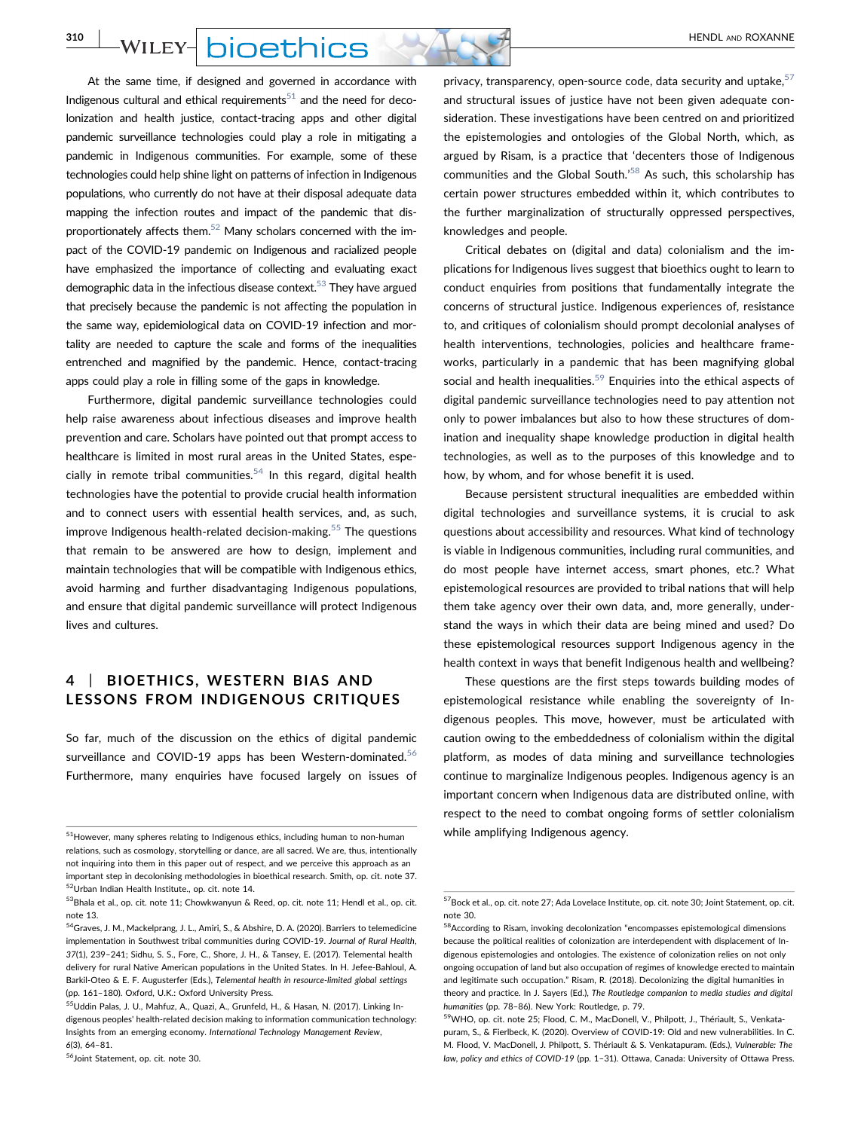**310** WILEY- **DIOEthics** AND **FULLEY** 

At the same time, if designed and governed in accordance with Indigenous cultural and ethical requirements $51$  and the need for decolonization and health justice, contact‐tracing apps and other digital pandemic surveillance technologies could play a role in mitigating a pandemic in Indigenous communities. For example, some of these technologies could help shine light on patterns of infection in Indigenous populations, who currently do not have at their disposal adequate data mapping the infection routes and impact of the pandemic that disproportionately affects them. $52$  Many scholars concerned with the impact of the COVID‐19 pandemic on Indigenous and racialized people have emphasized the importance of collecting and evaluating exact demographic data in the infectious disease context.<sup>53</sup> They have argued that precisely because the pandemic is not affecting the population in the same way, epidemiological data on COVID‐19 infection and mortality are needed to capture the scale and forms of the inequalities entrenched and magnified by the pandemic. Hence, contact-tracing apps could play a role in filling some of the gaps in knowledge.

Furthermore, digital pandemic surveillance technologies could help raise awareness about infectious diseases and improve health prevention and care. Scholars have pointed out that prompt access to healthcare is limited in most rural areas in the United States, espe-cially in remote tribal communities.<sup>[54](#page-5-3)</sup> In this regard, digital health technologies have the potential to provide crucial health information and to connect users with essential health services, and, as such, improve Indigenous health-related decision-making.<sup>[55](#page-5-4)</sup> The questions that remain to be answered are how to design, implement and maintain technologies that will be compatible with Indigenous ethics, avoid harming and further disadvantaging Indigenous populations, and ensure that digital pandemic surveillance will protect Indigenous lives and cultures.

## 4 | BIOETHICS, WESTERN BIAS AND LESSONS FROM INDIGENOUS CRITIQUES

So far, much of the discussion on the ethics of digital pandemic surveillance and COVID-19 apps has been Western-dominated.<sup>56</sup> Furthermore, many enquiries have focused largely on issues of

privacy, transparency, open-source code, data security and uptake, [57](#page-5-6) and structural issues of justice have not been given adequate consideration. These investigations have been centred on and prioritized the epistemologies and ontologies of the Global North, which, as argued by Risam, is a practice that 'decenters those of Indigenous communities and the Global South.'<sup>[58](#page-5-7)</sup> As such, this scholarship has certain power structures embedded within it, which contributes to the further marginalization of structurally oppressed perspectives, knowledges and people.

Critical debates on (digital and data) colonialism and the implications for Indigenous lives suggest that bioethics ought to learn to conduct enquiries from positions that fundamentally integrate the concerns of structural justice. Indigenous experiences of, resistance to, and critiques of colonialism should prompt decolonial analyses of health interventions, technologies, policies and healthcare frameworks, particularly in a pandemic that has been magnifying global social and health inequalities.<sup>59</sup> Enquiries into the ethical aspects of digital pandemic surveillance technologies need to pay attention not only to power imbalances but also to how these structures of domination and inequality shape knowledge production in digital health technologies, as well as to the purposes of this knowledge and to how, by whom, and for whose benefit it is used.

Because persistent structural inequalities are embedded within digital technologies and surveillance systems, it is crucial to ask questions about accessibility and resources. What kind of technology is viable in Indigenous communities, including rural communities, and do most people have internet access, smart phones, etc.? What epistemological resources are provided to tribal nations that will help them take agency over their own data, and, more generally, understand the ways in which their data are being mined and used? Do these epistemological resources support Indigenous agency in the health context in ways that benefit Indigenous health and wellbeing?

These questions are the first steps towards building modes of epistemological resistance while enabling the sovereignty of Indigenous peoples. This move, however, must be articulated with caution owing to the embeddedness of colonialism within the digital platform, as modes of data mining and surveillance technologies continue to marginalize Indigenous peoples. Indigenous agency is an important concern when Indigenous data are distributed online, with respect to the need to combat ongoing forms of settler colonialism

<span id="page-5-0"></span><sup>51</sup> However, many spheres relating to Indigenous ethics, including human to non‐human **howan human howan indigenous agency**. relations, such as cosmology, storytelling or dance, are all sacred. We are, thus, intentionally not inquiring into them in this paper out of respect, and we perceive this approach as an important step in decolonising methodologies in bioethical research. Smith, op. cit. note 37. 52Urban Indian Health Institute., op. cit. note 14.

<span id="page-5-2"></span><span id="page-5-1"></span> $53$ Bhala et al., op. cit. note 11; Chowkwanyun & Reed, op. cit. note 11; Hendl et al., op. cit. note 13.

<span id="page-5-3"></span><sup>54</sup>Graves, J. M., Mackelprang, J. L., Amiri, S., & Abshire, D. A. (2020). Barriers to telemedicine implementation in Southwest tribal communities during COVID‐19. Journal of Rural Health, 37(1), 239–241; Sidhu, S. S., Fore, C., Shore, J. H., & Tansey, E. (2017). Telemental health delivery for rural Native American populations in the United States. In H. Jefee‐Bahloul, A. Barkil-Oteo & E. F. Augusterfer (Eds.), Telemental health in resource-limited global settings (pp. 161–180). Oxford, U.K.: Oxford University Press.

<span id="page-5-4"></span><sup>&</sup>lt;sup>55</sup>Uddin Palas, J. U., Mahfuz, A., Quazi, A., Grunfeld, H., & Hasan, N. (2017). Linking Indigenous peoples' health‐related decision making to information communication technology: Insights from an emerging economy. International Technology Management Review, 6(3), 64–81.

<span id="page-5-5"></span><sup>56</sup>Joint Statement, op. cit. note 30.

<span id="page-5-6"></span><sup>57</sup>Bock et al., op. cit. note 27; Ada Lovelace Institute, op. cit. note 30; Joint Statement, op. cit. note 30.

<span id="page-5-7"></span> $^{58}\!\!$  According to Risam, invoking decolonization "encompasses epistemological dimensions because the political realities of colonization are interdependent with displacement of Indigenous epistemologies and ontologies. The existence of colonization relies on not only ongoing occupation of land but also occupation of regimes of knowledge erected to maintain and legitimate such occupation." Risam, R. (2018). Decolonizing the digital humanities in theory and practice. In J. Sayers (Ed.), The Routledge companion to media studies and digital humanities (pp. 78–86). New York: Routledge, p. 79.

<span id="page-5-8"></span><sup>&</sup>lt;sup>59</sup>WHO, op. cit. note 25; Flood, C. M., MacDonell, V., Philpott, J., Thériault, S., Venkatapuram, S., & Fierlbeck, K. (2020). Overview of COVID‐19: Old and new vulnerabilities. In C. M. Flood, V. MacDonell, J. Philpott, S. Thériault & S. Venkatapuram. (Eds.), Vulnerable: The law, policy and ethics of COVID‐19 (pp. 1–31). Ottawa, Canada: University of Ottawa Press.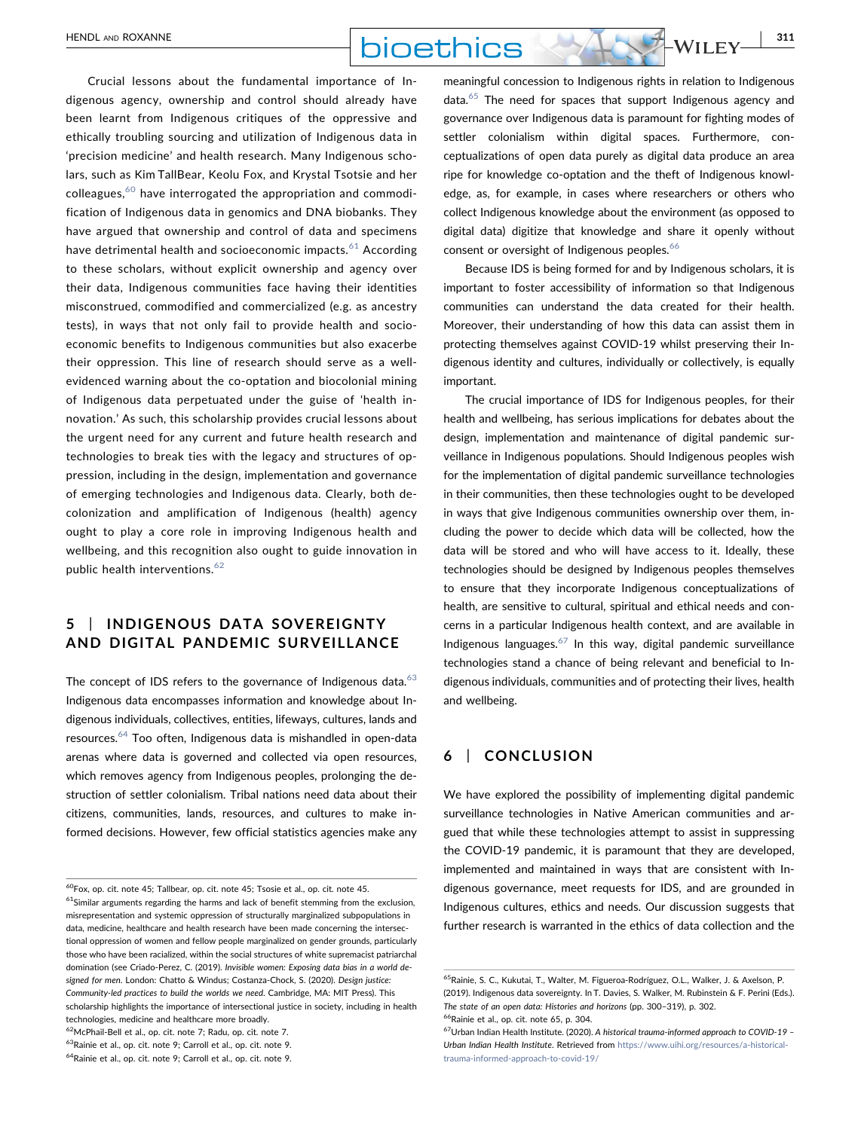Crucial lessons about the fundamental importance of Indigenous agency, ownership and control should already have been learnt from Indigenous critiques of the oppressive and ethically troubling sourcing and utilization of Indigenous data in 'precision medicine' and health research. Many Indigenous scholars, such as Kim TallBear, Keolu Fox, and Krystal Tsotsie and her  $colle$ agues, $60$  have interrogated the appropriation and commodification of Indigenous data in genomics and DNA biobanks. They have argued that ownership and control of data and specimens have detrimental health and socioeconomic impacts. $61$  According to these scholars, without explicit ownership and agency over their data, Indigenous communities face having their identities misconstrued, commodified and commercialized (e.g. as ancestry tests), in ways that not only fail to provide health and socioeconomic benefits to Indigenous communities but also exacerbe their oppression. This line of research should serve as a well‐ evidenced warning about the co‐optation and biocolonial mining of Indigenous data perpetuated under the guise of 'health innovation.' As such, this scholarship provides crucial lessons about the urgent need for any current and future health research and technologies to break ties with the legacy and structures of oppression, including in the design, implementation and governance of emerging technologies and Indigenous data. Clearly, both decolonization and amplification of Indigenous (health) agency ought to play a core role in improving Indigenous health and wellbeing, and this recognition also ought to guide innovation in public health interventions. $62$ 

# 5 | INDIGENOUS DATA SOVEREIGNTY AND DIGITAL PANDEMIC SURVEILLANCE

The concept of IDS refers to the governance of Indigenous data. $63$ Indigenous data encompasses information and knowledge about Indigenous individuals, collectives, entities, lifeways, cultures, lands and resources.<sup>[64](#page-6-4)</sup> Too often, Indigenous data is mishandled in open-data arenas where data is governed and collected via open resources, which removes agency from Indigenous peoples, prolonging the destruction of settler colonialism. Tribal nations need data about their citizens, communities, lands, resources, and cultures to make informed decisions. However, few official statistics agencies make any

<span id="page-6-2"></span>62McPhail‐Bell et al., op. cit. note 7; Radu, op. cit. note 7.

meaningful concession to Indigenous rights in relation to Indigenous data.<sup>65</sup> The need for spaces that support Indigenous agency and governance over Indigenous data is paramount for fighting modes of settler colonialism within digital spaces. Furthermore, conceptualizations of open data purely as digital data produce an area ripe for knowledge co‐optation and the theft of Indigenous knowledge, as, for example, in cases where researchers or others who collect Indigenous knowledge about the environment (as opposed to digital data) digitize that knowledge and share it openly without consent or oversight of Indigenous peoples.<sup>[66](#page-6-6)</sup>

Because IDS is being formed for and by Indigenous scholars, it is important to foster accessibility of information so that Indigenous communities can understand the data created for their health. Moreover, their understanding of how this data can assist them in protecting themselves against COVID‐19 whilst preserving their Indigenous identity and cultures, individually or collectively, is equally important.

The crucial importance of IDS for Indigenous peoples, for their health and wellbeing, has serious implications for debates about the design, implementation and maintenance of digital pandemic surveillance in Indigenous populations. Should Indigenous peoples wish for the implementation of digital pandemic surveillance technologies in their communities, then these technologies ought to be developed in ways that give Indigenous communities ownership over them, including the power to decide which data will be collected, how the data will be stored and who will have access to it. Ideally, these technologies should be designed by Indigenous peoples themselves to ensure that they incorporate Indigenous conceptualizations of health, are sensitive to cultural, spiritual and ethical needs and concerns in a particular Indigenous health context, and are available in Indigenous languages.<sup>[67](#page-6-7)</sup> In this way, digital pandemic surveillance technologies stand a chance of being relevant and beneficial to Indigenous individuals, communities and of protecting their lives, health and wellbeing.

### 6 | CONCLUSION

We have explored the possibility of implementing digital pandemic surveillance technologies in Native American communities and argued that while these technologies attempt to assist in suppressing the COVID‐19 pandemic, it is paramount that they are developed, implemented and maintained in ways that are consistent with Indigenous governance, meet requests for IDS, and are grounded in Indigenous cultures, ethics and needs. Our discussion suggests that further research is warranted in the ethics of data collection and the

<span id="page-6-1"></span><span id="page-6-0"></span> $^{60}$ Fox, op. cit. note 45; Tallbear, op. cit. note 45; Tsosie et al., op. cit. note 45.  $61$ Similar arguments regarding the harms and lack of benefit stemming from the exclusion, misrepresentation and systemic oppression of structurally marginalized subpopulations in data, medicine, healthcare and health research have been made concerning the intersectional oppression of women and fellow people marginalized on gender grounds, particularly those who have been racialized, within the social structures of white supremacist patriarchal domination (see Criado‐Perez, C. (2019). Invisible women: Exposing data bias in a world designed for men. London: Chatto & Windus; Costanza‐Chock, S. (2020). Design justice: Community‐led practices to build the worlds we need. Cambridge, MA: MIT Press). This scholarship highlights the importance of intersectional justice in society, including in health technologies, medicine and healthcare more broadly.

<span id="page-6-3"></span><sup>63</sup>Rainie et al., op. cit. note 9; Carroll et al., op. cit. note 9.

<span id="page-6-4"></span><sup>64</sup>Rainie et al., op. cit. note 9; Carroll et al., op. cit. note 9.

<span id="page-6-5"></span><sup>65</sup>Rainie, S. C., Kukutai, T., Walter, M. Figueroa‐Rodríguez, O.L., Walker, J. & Axelson, P. (2019). Indigenous data sovereignty. In T. Davies, S. Walker, M. Rubinstein & F. Perini (Eds.). The state of an open data: Histories and horizons (pp. 300–319), p. 302. <sup>66</sup>Rainie et al., op. cit. note 65, p. 304.

<span id="page-6-7"></span><span id="page-6-6"></span><sup>67</sup>Urban Indian Health Institute. (2020). A historical trauma‐informed approach to COVID‐19 – Urban Indian Health Institute. Retrieved from [https://www.uihi.org/resources/a-historical](https://www.uihi.org/resources/a-historical-trauma-informed-approach-to-covid-19/)[trauma-informed-approach-to-covid-19/](https://www.uihi.org/resources/a-historical-trauma-informed-approach-to-covid-19/)